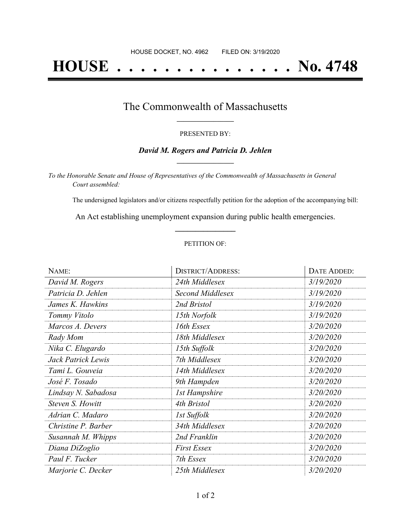# **HOUSE . . . . . . . . . . . . . . . No. 4748**

### The Commonwealth of Massachusetts **\_\_\_\_\_\_\_\_\_\_\_\_\_\_\_\_\_**

#### PRESENTED BY:

#### *David M. Rogers and Patricia D. Jehlen* **\_\_\_\_\_\_\_\_\_\_\_\_\_\_\_\_\_**

*To the Honorable Senate and House of Representatives of the Commonwealth of Massachusetts in General Court assembled:*

The undersigned legislators and/or citizens respectfully petition for the adoption of the accompanying bill:

An Act establishing unemployment expansion during public health emergencies. **\_\_\_\_\_\_\_\_\_\_\_\_\_\_\_**

#### PETITION OF:

| NAME:               | <b>DISTRICT/ADDRESS:</b> | <b>DATE ADDED:</b> |
|---------------------|--------------------------|--------------------|
| David M. Rogers     | 24th Middlesex           | 3/19/2020          |
| Patricia D. Jehlen  | <b>Second Middlesex</b>  | 3/19/2020          |
| James K. Hawkins    | 2nd Bristol              | 3/19/2020          |
| Tommy Vitolo        | 15th Norfolk             | 3/19/2020          |
| Marcos A. Devers    | 16th Essex               | 3/20/2020          |
| Rady Mom            | 18th Middlesex           | 3/20/2020          |
| Nika C. Elugardo    | 15th Suffolk             | 3/20/2020          |
| Jack Patrick Lewis  | 7th Middlesex            | 3/20/2020          |
| Tami L. Gouveia     | 14th Middlesex           | 3/20/2020          |
| José F. Tosado      | 9th Hampden              | 3/20/2020          |
| Lindsay N. Sabadosa | <b>1st Hampshire</b>     | 3/20/2020          |
| Steven S. Howitt    | 4th Bristol              | 3/20/2020          |
| Adrian C. Madaro    | 1st Suffolk              | 3/20/2020          |
| Christine P. Barber | 34th Middlesex           | 3/20/2020          |
| Susannah M. Whipps  | 2nd Franklin             | 3/20/2020          |
| Diana DiZoglio      | <b>First Essex</b>       | 3/20/2020          |
| Paul F. Tucker      | 7th Essex                | 3/20/2020          |
| Marjorie C. Decker  | 25th Middlesex           | 3/20/2020          |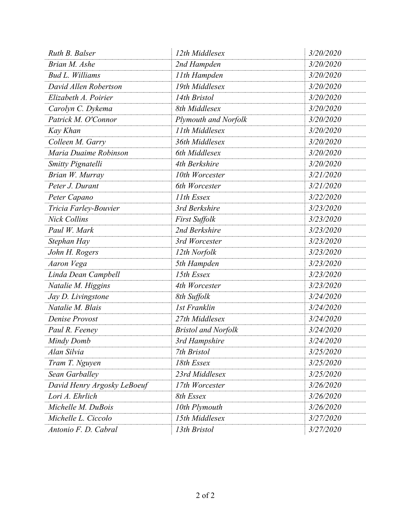| Ruth B. Balser              | 12th Middlesex             | 3/20/2020 |
|-----------------------------|----------------------------|-----------|
| Brian M. Ashe               | 2nd Hampden                | 3/20/2020 |
| <b>Bud L. Williams</b>      | 11th Hampden               | 3/20/2020 |
| David Allen Robertson       | 19th Middlesex             | 3/20/2020 |
| Elizabeth A. Poirier        | 14th Bristol               | 3/20/2020 |
| Carolyn C. Dykema           | 8th Middlesex              | 3/20/2020 |
| Patrick M. O'Connor         | Plymouth and Norfolk       | 3/20/2020 |
| Kay Khan                    | 11th Middlesex             | 3/20/2020 |
| Colleen M. Garry            | 36th Middlesex             | 3/20/2020 |
| Maria Duaime Robinson       | 6th Middlesex              | 3/20/2020 |
| Smitty Pignatelli           | 4th Berkshire              | 3/20/2020 |
| Brian W. Murray             | 10th Worcester             | 3/21/2020 |
| Peter J. Durant             | 6th Worcester              | 3/21/2020 |
| Peter Capano                | 11th Essex                 | 3/22/2020 |
| Tricia Farley-Bouvier       | 3rd Berkshire              | 3/23/2020 |
| <b>Nick Collins</b>         | <b>First Suffolk</b>       | 3/23/2020 |
| Paul W. Mark                | 2nd Berkshire              | 3/23/2020 |
| Stephan Hay                 | 3rd Worcester              | 3/23/2020 |
| John H. Rogers              | 12th Norfolk               | 3/23/2020 |
| Aaron Vega                  | 5th Hampden                | 3/23/2020 |
| Linda Dean Campbell         | 15th Essex                 | 3/23/2020 |
| Natalie M. Higgins          | 4th Worcester              | 3/23/2020 |
| Jay D. Livingstone          | 8th Suffolk                | 3/24/2020 |
| Natalie M. Blais            | <b>1st Franklin</b>        | 3/24/2020 |
| Denise Provost              | 27th Middlesex             | 3/24/2020 |
| Paul R. Feeney              | <b>Bristol and Norfolk</b> | 3/24/2020 |
| Mindy Domb                  | 3rd Hampshire              | 3/24/2020 |
| Alan Silvia                 | 7th Bristol                | 3/25/2020 |
| Tram T. Nguyen              | 18th Essex                 | 3/25/2020 |
| Sean Garballey              | 23rd Middlesex             | 3/25/2020 |
| David Henry Argosky LeBoeuf | 17th Worcester             | 3/26/2020 |
| Lori A. Ehrlich             | 8th Essex                  | 3/26/2020 |
| Michelle M. DuBois          | 10th Plymouth              | 3/26/2020 |
| Michelle L. Ciccolo         | 15th Middlesex             | 3/27/2020 |
| Antonio F. D. Cabral        | 13th Bristol               | 3/27/2020 |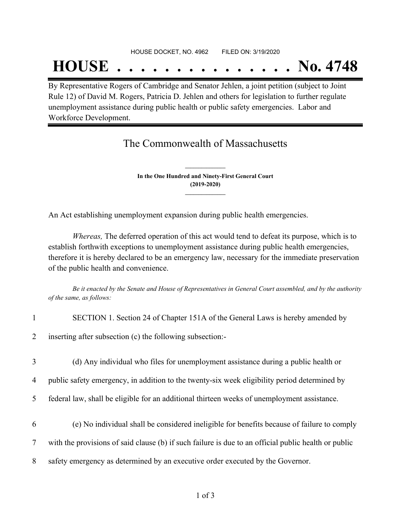## **HOUSE . . . . . . . . . . . . . . . No. 4748**

By Representative Rogers of Cambridge and Senator Jehlen, a joint petition (subject to Joint Rule 12) of David M. Rogers, Patricia D. Jehlen and others for legislation to further regulate unemployment assistance during public health or public safety emergencies. Labor and Workforce Development.

## The Commonwealth of Massachusetts

**In the One Hundred and Ninety-First General Court (2019-2020) \_\_\_\_\_\_\_\_\_\_\_\_\_\_\_**

**\_\_\_\_\_\_\_\_\_\_\_\_\_\_\_**

An Act establishing unemployment expansion during public health emergencies.

*Whereas,* The deferred operation of this act would tend to defeat its purpose, which is to establish forthwith exceptions to unemployment assistance during public health emergencies, therefore it is hereby declared to be an emergency law, necessary for the immediate preservation of the public health and convenience.

Be it enacted by the Senate and House of Representatives in General Court assembled, and by the authority *of the same, as follows:*

| $\mathbf{1}$   | SECTION 1. Section 24 of Chapter 151A of the General Laws is hereby amended by                       |
|----------------|------------------------------------------------------------------------------------------------------|
| $\overline{2}$ | inserting after subsection (c) the following subsection:-                                            |
| 3              | (d) Any individual who files for unemployment assistance during a public health or                   |
| $\overline{4}$ | public safety emergency, in addition to the twenty-six week eligibility period determined by         |
| 5 <sup>1</sup> | federal law, shall be eligible for an additional thirteen weeks of unemployment assistance.          |
| 6              | (e) No individual shall be considered ineligible for benefits because of failure to comply           |
| $\overline{7}$ | with the provisions of said clause (b) if such failure is due to an official public health or public |
| 8              | safety emergency as determined by an executive order executed by the Governor.                       |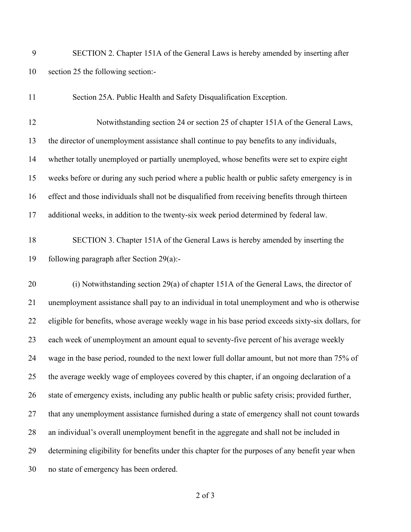|    | SECTION 2. Chapter 151A of the General Laws is hereby amended by inserting after |
|----|----------------------------------------------------------------------------------|
| 10 | section 25 the following section:-                                               |

Section 25A. Public Health and Safety Disqualification Exception.

 Notwithstanding section 24 or section 25 of chapter 151A of the General Laws, the director of unemployment assistance shall continue to pay benefits to any individuals, whether totally unemployed or partially unemployed, whose benefits were set to expire eight weeks before or during any such period where a public health or public safety emergency is in effect and those individuals shall not be disqualified from receiving benefits through thirteen additional weeks, in addition to the twenty-six week period determined by federal law.

## SECTION 3. Chapter 151A of the General Laws is hereby amended by inserting the following paragraph after Section 29(a):-

 (i) Notwithstanding section 29(a) of chapter 151A of the General Laws, the director of unemployment assistance shall pay to an individual in total unemployment and who is otherwise eligible for benefits, whose average weekly wage in his base period exceeds sixty-six dollars, for each week of unemployment an amount equal to seventy-five percent of his average weekly wage in the base period, rounded to the next lower full dollar amount, but not more than 75% of the average weekly wage of employees covered by this chapter, if an ongoing declaration of a state of emergency exists, including any public health or public safety crisis; provided further, that any unemployment assistance furnished during a state of emergency shall not count towards an individual's overall unemployment benefit in the aggregate and shall not be included in determining eligibility for benefits under this chapter for the purposes of any benefit year when no state of emergency has been ordered.